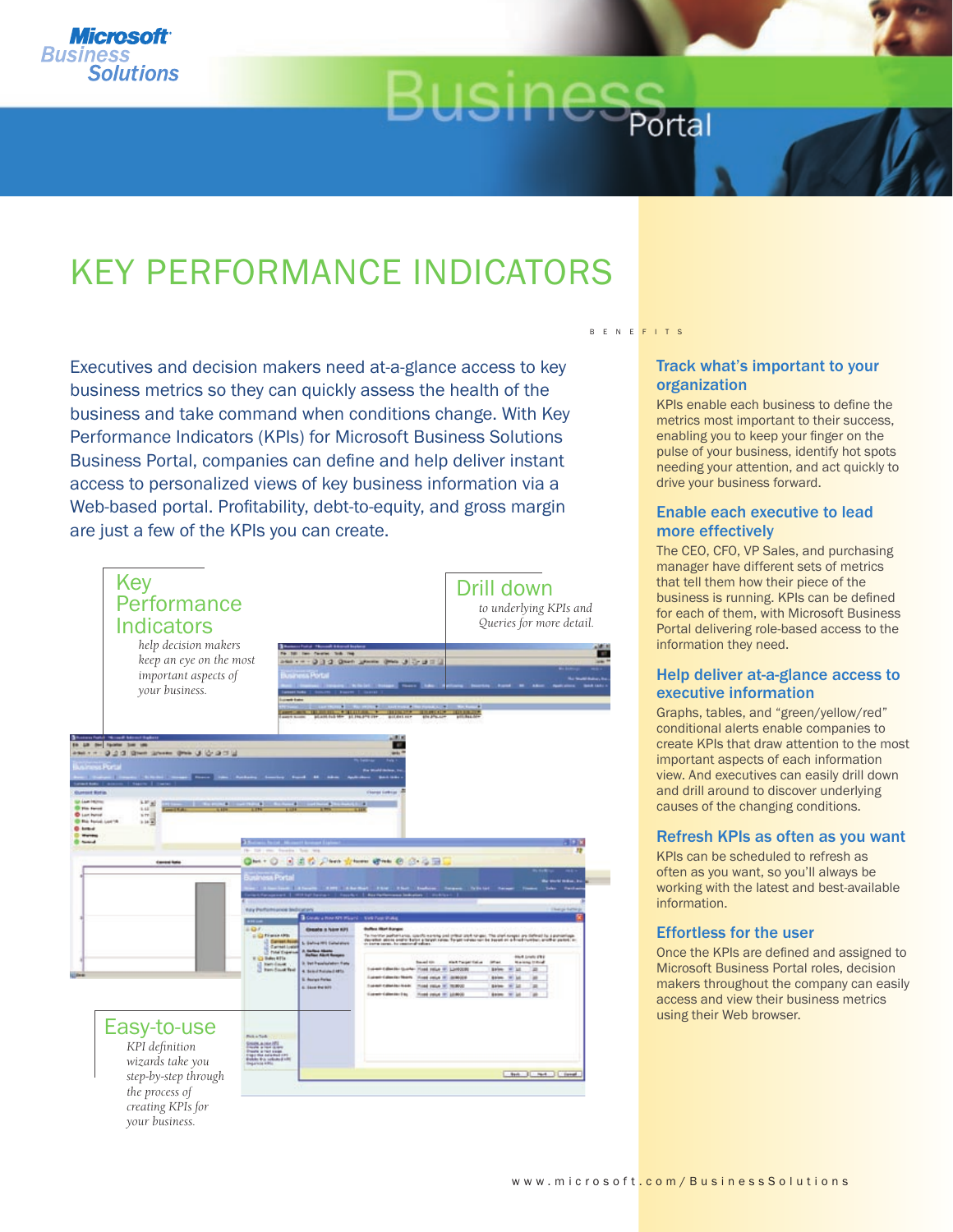

# KEY PERFORMANCE INDICATORS

Executives and decision makers need at-a-glance access to key business metrics so they can quickly assess the health of the business and take command when conditions change. With Key Performance Indicators (KPIs) for Microsoft Business Solutions Business Portal, companies can define and help deliver instant access to personalized views of key business information via a Web-based portal. Profitability, debt-to-equity, and gross margin are just a few of the KPIs you can create.



#### B E N E F I T S

Portal

#### Track what's important to your organization

KPIs enable each business to define the metrics most important to their success, enabling you to keep your finger on the pulse of your business, identify hot spots needing your attention, and act quickly to drive your business forward.

### Enable each executive to lead more effectively

The CEO, CFO, VP Sales, and purchasing manager have different sets of metrics that tell them how their piece of the business is running. KPIs can be defined for each of them, with Microsoft Business Portal delivering role-based access to the information they need.

#### Help deliver at-a-glance access to executive information

Graphs, tables, and "green/yellow/red" conditional alerts enable companies to create KPIs that draw attention to the most important aspects of each information view. And executives can easily drill down and drill around to discover underlying causes of the changing conditions.

#### Refresh KPIs as often as you want

KPIs can be scheduled to refresh as often as you want, so you'll always be working with the latest and best-available information.

#### Effortless for the user

Once the KPIs are defined and assigned to Microsoft Business Portal roles, decision makers throughout the company can easily access and view their business metrics